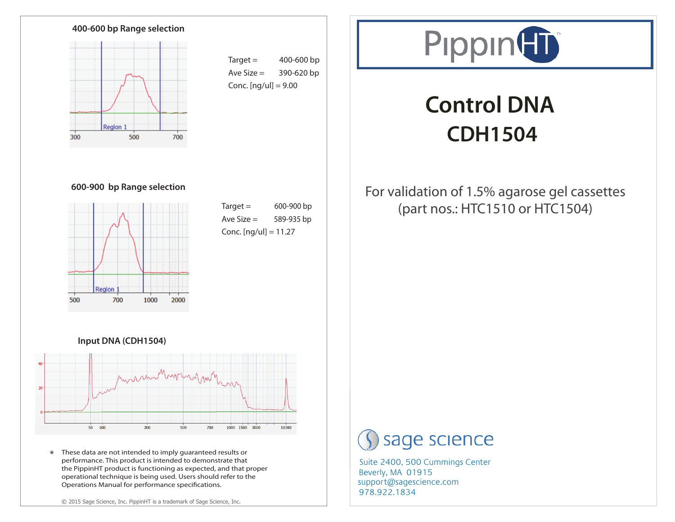

 $Target = 400-600$  bp Ave Size  $=$  390-620 bp Conc.  $[nq/u] = 9.00$ 



# **Control DNA CDH1504**

#### **600-900 bp Range selection**



 $Target = 600-900$  bp Ave Size  $=$  589-935 bp Conc.  $[nq/u] = 11.27$ 

### For validation of 1.5% agarose gel cassettes (part nos.: HTC1510 or HTC1504)

#### **Input DNA (CDH1504)**



\* These data are not intended to imply guaranteed results or performance. This product is intended to demonstrate that the PippinHT product is functioning as expected, and that proper operational technique is being used. Users should refer to the Operations Manual for performance specifications.

## sage science

978.922.1834 support@sagescience.com Suite 2400, 500 Cummings Center Beverly, MA 01915